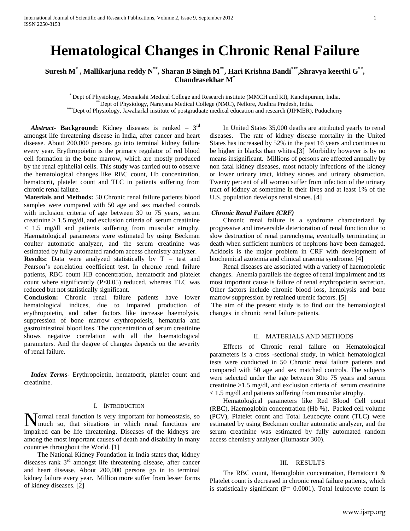# **Hematological Changes in Chronic Renal Failure**

# **Suresh M\* , Mallikarjuna reddy N\*\*, Sharan B Singh M\*\*, Hari Krishna Bandi\*\*\*,Shravya keerthi G\*\* , Chandrasekhar M\***

\* Dept of Physiology, Meenakshi Medical College and Research institute (MMCH and RI), Kanchipuram, India. \*\*Dept of Physiology, Narayana Medical College (NMC), Nellore, Andhra Pradesh, India.

\*\*\*Dept of Physiology, Jawaharlal institute of postgraduate medical education and research (JIPMER), Puducherry

Abstract **Background:** Kidney diseases is ranked – 3<sup>rd</sup> amongst life threatening disease in India, after cancer and heart disease. About 200,000 persons go into terminal kidney failure every year. Erythropoietin is the primary regulator of red blood cell formation in the bone marrow, which are mostly produced by the renal epithelial cells. This study was carried out to observe the hematological changes like RBC count, Hb concentration, hematocrit, platelet count and TLC in patients suffering from chronic renal failure.

**Materials and Methods:** 50 Chronic renal failure patients blood samples were compared with 50 age and sex matched controls with inclusion criteria of age between 30 to 75 years, serum creatinine > 1.5 mg/dl, and exclusion criteria of serum creatinine < 1.5 mg/dl and patients suffering from muscular atrophy. Haematological parameters were estimated by using Beckman coulter automatic analyzer, and the serum creatinine was estimated by fully automated random access chemistry analyzer.

**Results:** Data were analyzed statistically by T – test and Pearson's correlation coefficient test. In chronic renal failure patients, RBC count HB concentration, hematocrit and platelet count where significantly (P<0.05) reduced, whereas TLC was reduced but not statistically significant.

**Conclusion:** Chronic renal failure patients have lower hematological indices, due to impaired production of erythropoietin, and other factors like increase haemolysis, suppression of bone marrow erythropoiesis, hematuria and gastrointestinal blood loss. The concentration of serum creatinine shows negative correlation with all the haematological parameters. And the degree of changes depends on the severity of renal failure.

 *Index Terms*- Erythropoietin, hematocrit, platelet count and creatinine.

## I. INTRODUCTION

Normal renal function is very important for homeostasis, so much so, that situations in which renal functions are much so, that situations in which renal functions are impaired can be life threatening. Diseases of the kidneys are among the most important causes of death and disability in many countries throughout the World. [1]

 The National Kidney Foundation in India states that, kidney diseases rank  $3<sup>rd</sup>$  amongst life threatening disease, after cancer and heart disease. About 200,000 persons go in to terminal kidney failure every year. Million more suffer from lesser forms of kidney diseases. [2]

 In United States 35,000 deaths are attributed yearly to renal diseases. The rate of kidney disease mortality in the United States has increased by 52% in the past 16 years and continues to be higher in blacks than whites.[3] Morbidity however is by no means insignificant. Millions of persons are affected annually by non fatal kidney diseases, most notably infections of the kidney or lower urinary tract, kidney stones and urinary obstruction. Twenty percent of all women suffer from infection of the urinary tract of kidney at sometime in their lives and at least 1% of the U.S. population develops renal stones. [4]

#### *Chronic Renal Failure (CRF)*

 Chronic renal failure is a syndrome characterized by progressive and irreversible deterioration of renal function due to slow destruction of renal parenchyma, eventually terminating in death when sufficient numbers of nephrons have been damaged. Acidosis is the major problem in CRF with development of biochemical azotemia and clinical uraemia syndrome. [4]

 Renal diseases are associated with a variety of haemopoietic changes. Anemia parallels the degree of renal impairment and its most important cause is failure of renal erythropoietin secretion. Other factors include chronic blood loss, hemolysis and bone marrow suppression by retained uremic factors. [5]

The aim of the present study is to find out the hematological changes in chronic renal failure patients.

### II. MATERIALS AND METHODS

 Effects of Chronic renal failure on Hematological parameters is a cross -sectional study, in which hematological tests were conducted in 50 Chronic renal failure patients and compared with 50 age and sex matched controls. The subjects were selected under the age between 30to 75 years and serum creatinine >1.5 mg/dl, and exclusion criteria of serum creatinine < 1.5 mg/dl and patients suffering from muscular atrophy.

 Hematological parameters like Red Blood Cell count (RBC), Haemoglobin concentration (Hb %), Packed cell volume (PCV), Platelet count and Total Leucocyte count (TLC) were estimated by using Beckman coulter automatic analyzer, and the serum creatinine was estimated by fully automated random access chemistry analyzer (Humastar 300).

#### III. RESULTS

 The RBC count, Hemoglobin concentration, Hematocrit & Platelet count is decreased in chronic renal failure patients, which is statistically significant ( $P = 0.0001$ ). Total leukocyte count is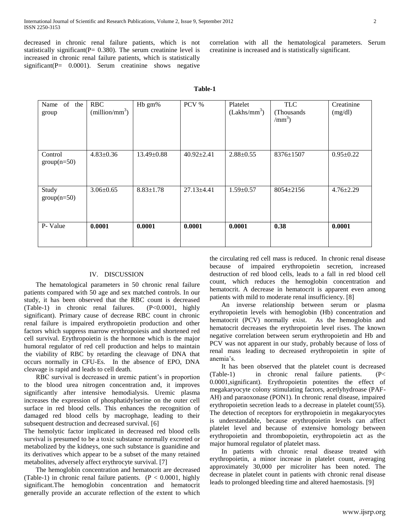decreased in chronic renal failure patients, which is not statistically significant( $P= 0.380$ ). The serum creatinine level is increased in chronic renal failure patients, which is statistically significant(P= 0.0001). Serum creatinine shows negative correlation with all the hematological parameters. Serum creatinine is increased and is statistically significant.

| of<br>Name<br>the<br>group | <b>RBC</b><br>$(million/mm^3)$ | Hb gm%           | PCV %            | Platelet<br>(Lakhs/mm <sup>3</sup> ) | <b>TLC</b><br>(Thousands)<br>$/mm^3)$ | Creatinine<br>(mg/dl) |
|----------------------------|--------------------------------|------------------|------------------|--------------------------------------|---------------------------------------|-----------------------|
| Control<br>$group(n=50)$   | $4.83 \pm 0.36$                | $13.49 \pm 0.88$ | $40.92 \pm 2.41$ | $2.88 \pm 0.55$                      | 8376±1507                             | $0.95 \pm 0.22$       |
| Study<br>$group(n=50)$     | $3.06 \pm 0.65$                | $8.83 \pm 1.78$  | $27.13 \pm 4.41$ | $1.59 \pm 0.57$                      | 8054±2156                             | $4.76 \pm 2.29$       |
| P- Value                   | 0.0001                         | 0.0001           | 0.0001           | 0.0001                               | 0.38                                  | 0.0001                |

**Table-1**

#### IV. DISCUSSION

 The hematological parameters in 50 chronic renal failure patients compared with 50 age and sex matched controls. In our study, it has been observed that the RBC count is decreased (Table-1) in chronic renal failures. (P<0.0001, highly significant). Primary cause of decrease RBC count in chronic renal failure is impaired erythropoietin production and other factors which suppress marrow erythropoiesis and shortened red cell survival. Erythropoietin is the hormone which is the major humoral regulator of red cell production and helps to maintain the viability of RBC by retarding the cleavage of DNA that occurs normally in CFU-Es. In the absence of EPO, DNA cleavage is rapid and leads to cell death.

 RBC survival is decreased in uremic patient's in proportion to the blood urea nitrogen concentration and, it improves significantly after intensive hemodialysis. Uremic plasma increases the expression of phosphatidylserine on the outer cell surface in red blood cells. This enhances the recognition of damaged red blood cells by macrophage, leading to their subsequent destruction and decreased survival. [6]

The hemolytic factor implicated in decreased red blood cells survival is presumed to be a toxic substance normally excreted or metabolized by the kidneys, one such substance is guanidine and its derivatives which appear to be a subset of the many retained metabolites, adversely affect erythrocyte survival. [7]

 The hemoglobin concentration and hematocrit are decreased (Table-1) in chronic renal failure patients.  $(P < 0.0001$ , highly significant.The hemoglobin concentration and hematocrit generally provide an accurate reflection of the extent to which

the circulating red cell mass is reduced. In chronic renal disease because of impaired erythropoietin secretion, increased destruction of red blood cells, leads to a fall in red blood cell count, which reduces the hemoglobin concentration and hematocrit. A decrease in hematocrit is apparent even among patients with mild to moderate renal insufficiency. [8]

 An inverse relationship between serum or plasma erythropoietin levels with hemoglobin (Hb) concentration and hematocrit (PCV) normally exist. As the hemoglobin and hematocrit decreases the erythropoietin level rises. The known negative correlation between serum erythropoietin and Hb and PCV was not apparent in our study, probably because of loss of renal mass leading to decreased erythropoietin in spite of anemia's.

 It has been observed that the platelet count is decreased (Table-1) in chronic renal failure patients. (P< 0.0001,significant). Erythropoietin potentites the effect of megakaryocyte colony stimulating factors, acetlyhydroase (PAF-AH) and paraoxonase (PON1). In chronic renal disease, impaired erythropoietin secretion leads to a decrease in platelet count(55). The detection of receptors for erythropoietin in megakaryocytes is understandable, because erythropoietin levels can affect platelet level and because of extensive homology between erythropoietin and thrombopoietin, erythropoietin act as the major humoral regulator of platelet mass.

 In patients with chronic renal disease treated with erythropoietin, a minor increase in platelet count, averaging approximately 30,000 per microliter has been noted. The decrease in platelet count in patients with chronic renal disease leads to prolonged bleeding time and altered haemostasis. [9]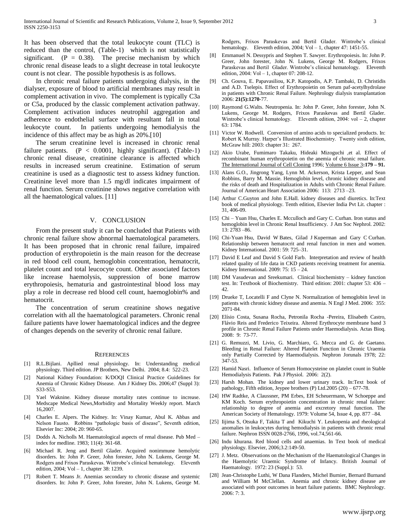It has been observed that the total leukocyte count (TLC) is reduced than the control, (Table-1) which is not statistically significant.  $(P = 0.38)$ . The precise mechanism by which chronic renal disease leads to a slight decrease in total leukocyte count is not clear. The possible hypothesis is as follows.

 In chronic renal failure patients undergoing dialysis, in the dialyser, exposure of blood to artificial membranes may result in complement activation in vivo. The complement is typically C3a or C5a, produced by the classic complement activation pathway. Complement activation induces neutrophil aggregation and adherence to endothelial surface with resultant fall in total leukocyte count. In patients undergoing hemodialysis the incidence of this affect may be as high as 20%.[10]

 The serum creatinine level is increased in chronic renal failure patients.  $(P < 0.0001$ , highly significant). (Table-1) chronic renal disease, creatinine clearance is affected which results in increased serum creatinine. Estimation of serum creatinine is used as a diagnostic test to assess kidney function. Creatinine level more than 1.5 mg/dl indicates impairment of renal function. Serum creatinine shows negative correlation with all the haematological values. [11]

#### V. CONCLUSION

 From the present study it can be concluded that Patients with chronic renal failure show abnormal haematological parameters. It has been proposed that in chronic renal failure, impaired production of erythropoietin is the main reason for the decrease in red blood cell count, hemoglobin concentration, hematocrit, platelet count and total leucocyte count. Other associated factors like increase haemolysis, suppression of bone marrow erythropoiesis, hematuria and gastrointestinal blood loss may play a role in decrease red blood cell count, haemoglobin% and hematocrit.

 The concentration of serum creatinine shows negative correlation with all the haematological parameters. Chronic renal failure patients have lower haematological indices and the degree of changes depends on the severity of chronic renal failure.

#### **REFERENCES**

- [1] R.L.Bijlani. Apllied renal physiology. In: Understanding medical physiology. Third edition. JP Brothers, New Delhi. 2004; 8.4: 522-23.
- [2] National Kidney Foundation: K/DOQI Clinical Practice Guidelines for Anemia of Chronic Kidney Disease. Am J Kidney Dis. 2006;47 (Suppl 3): S33-S53.
- [3] Yael Waknine. Kidney disease mortality rates continue to increase. Medscape Medical News,Morbidity and Mortality Weekly report. March 16,2007.
- [4] Charles E. Alpers. The Kidney. In: Vinay Kumar, Abul K. Abbas and Nelson Fausto. Robbins "pathologic basis of disease", Seventh edition, Elsevier Inc: 2004; 20: 960-65.
- Dodds A. Nicholls M. Haematological aspects of renal disease. Pub Med index for medline. 1983; 11(4): 361-68.
- Michael R. Jeng and Bertil Glader. Acquired nonimmune hemolytic disorders. In: John P. Greer, John forester, John N. Lukens, George M. Rodgers and Frixos Paraskevas. Wintrobe's clinical hematology. Eleventh edition, 2004; Vol – 1, chapter 38: 1239.
- [7] Robert T. Means Jr. Anemias secondary to chronic disease and systemic disorders. In: John P. Greer, John forester, John N. Lukens, George M.

Rodgers, Frixos Paraskevas and Bertil Glader. Wintrobe's clinical hematology. Eleventh edition, 2004; Vol - 1, chapter 47: 1451-55.

- [8] Emmanuel N. Dessypris and Stephen T. Sawyer. Erythropoiesis. In: John P. Greer, John forester, John N. Lukens, George M. Rodgers, Frixos Paraskevas and Bertil Glader. Wintrobe's clinical hematology. Eleventh edition, 2004: Vol – 1, chapter 07: 208-12.
- [9] Ch. Gouva, E. Papavasiliou, K.P. Katopodis, A.P. Tambaki, D. Christidis and A.D. Tselepis. Effect of Erythropoietin on Serum paf-acetylhydrolase in patients with Chronic Renal Failure. Nephrology dialysis transplantation 2006: **21(5):1270**-77.
- [10] Raymond G.Walts. Neutropenia. In: John P. Greer, John forester, John N. Lukens, George M. Rodgers, Frixos Paraskevas and Bertil Glader. Wintrobe's clinical hematology. Eleventh edition, 2004: vol - 2, chapter 63: 1784.
- [11] Victor W. Rodwell. Conversion of amino acids to specialized products. In: Robert K Murray. Harper's Illustrated Biochemistry. Twenty sixth edition, McGraw hill: 2003: chapter 31: 267.
- [12] Akio Urabe, Fumimaro Takaku, Hideaki Mizoguchi ,et al. Effect of recombinant human erythropoietin on the anemia of chronic renal failure. [The International Journal of Cell Cloning](http://www3.interscience.wiley.com/journal/121604397/home) 1996[; Volume 6 Issue 3](http://www3.interscience.wiley.com/journal/121604783/issue)**:179 – 91.**
- [13] Alans G.O., Jingrong Yang, Lynn M. Ackerson, Krista Lepper, and Sean Robbins, Barry M. Massie. Hemoglobin level, chronic kidney disease and the risks of death and Hospitalization in Adults with Chronic Renal Failure. Journal of American Heart Association 2006: 113: 2713 –23.
- [14] Arthur C.Guyton and John E.Hall. kidney diseases and diuretics. In:Text book of medical physiology. Tenth edition, Elsevier India Pvt Lit. chapter : 31, 406-09.
- [15] Chi Yuan Hsu, Charles E. Mcculloch and Gary C. Curhan. Iron status and hemoglobin level in Chronic Renal Insufficiency. J Am Soc Nephrol. 2002: 13: 2783 –86.
- [16] Chi-Yuan Hsu, David W Bates, Gilad J Kuperman and Gary C Curhan. Relationship between hematocrit and renal function in men and women. Kidney International. 2001: 59: 725–31.
- [17] David E Leaf and David S Gold Farb. Interpretation and review of health related quality of life data in CKD patients receiving treatment for anemia. Kidney International. 2009: 75: 15 – 24.
- [18] DM Vasudevan and Sreekumari. Clinical biochemistry kidney function test. In: Textbook of Biochemistry. Third edition: 2001: chapter 53: 436 – 42.
- [19] Drueke T, Locatelli F and Clyne N. Normalization of hemoglobin level in patients with chronic kidney disease and anemia. N Engl J Med. 2006: 355: 2071-84.
- [20] Elísio Costa, Susana Rocha, Petronila Rocha -Pereira, Elisabeth Castro, Flávio Reis and Frederico Teixeira. Altered Erythrocyte membrane band 3 profile in Chronic Renal Failure Patients under Haemodialysis. Actas Bioq. 2008: 9: 73-77.
- [21] G. Remuzzi, M. Livio, G. Marchiaro, G. Mecca and G. de Gaetano. Bleeding in Renal Failure: Altered Platelet Function in Chronic Uraemia only Partially Corrected by Haemodialysis. Nephron Jorunals 1978; 22: 347-53.
- [22] Hamid Nasri. Influence of Serum Homocysteine on platelet count in Stable Hemodialysis Patients. Pak J Physiol. 2006: 2(2).
- [23] Harsh Mohan. The kidney and lower urinary track. In:Text book of pathology, Fifth edition, Jeypee brothers (P) Ltd.2005 (20) – 677-78.
- [24] HW Radtke, A Claussner, PM Erbes, EH Scheuermann, W Schoeppe and KM Koch. Serum erythropoietin concentration in chronic renal failure: relationship to degree of anemia and excretory renal function. The American Society of Hematology. 1979: Volume 54, Issue 4, pp. 877 –84.
- [25] Iijima S, Otsuka F, Takita T and Kikuchi Y. Leukopenia and rheological anomalies in leukocytes during hemodialysis in patients with chronic renal failure. Nephron ISSN 0028-2766, 1996, vol.74,561-66.
- [26] Indu khurana. Red blood cells and anaemias. In Text book of medical physiology. Elsevier, 2006;3.2:149-50.
- [27] J. Metz. Observations on the Mechanism of the Haematological Changes in the Haemolytic Uraemic Syndrome of Infancy. British Journal of Haematology. 1972: 23 (Suppl.): 53.
- [28] Jean-Christophe Luthi, W Dana Flanders, Michel Burnier, Bernard Burnand and William M McClellan. Anemia and chronic kidney disease are associated with poor outcomes in heart failure patients. BMC Nephrology. 2006: 7: 3.